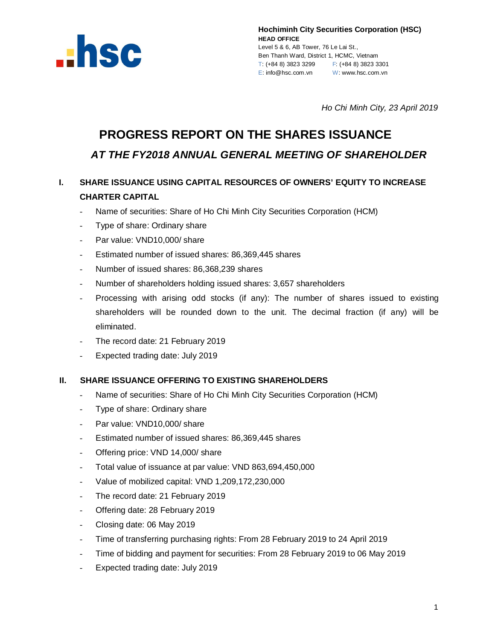

**Hochiminh City Securities Corporation (HSC) HEAD OFFICE** Level 5 & 6, AB Tower, 76 Le Lai St., Ben Thanh Ward, District 1, HCMC, Vietnam T: (+84 8) 3823 3299 F: (+84 8) 3823 3301 E: info@hsc.com.vn W: www.hsc.com.vn

*Ho Chi Minh City, 23 April 2019*

# **PROGRESS REPORT ON THE SHARES ISSUANCE** *AT THE FY2018 ANNUAL GENERAL MEETING OF SHAREHOLDER*

# **I. SHARE ISSUANCE USING CAPITAL RESOURCES OF OWNERS' EQUITY TO INCREASE CHARTER CAPITAL**

- Name of securities: Share of Ho Chi Minh City Securities Corporation (HCM)
- Type of share: Ordinary share
- Par value: VND10,000/ share
- Estimated number of issued shares: 86,369,445 shares
- Number of issued shares: 86,368,239 shares
- Number of shareholders holding issued shares: 3,657 shareholders
- Processing with arising odd stocks (if any): The number of shares issued to existing shareholders will be rounded down to the unit. The decimal fraction (if any) will be eliminated.
- The record date: 21 February 2019
- Expected trading date: July 2019

#### **II. SHARE ISSUANCE OFFERING TO EXISTING SHAREHOLDERS**

- Name of securities: Share of Ho Chi Minh City Securities Corporation (HCM)
- Type of share: Ordinary share
- Par value: VND10,000/ share
- Estimated number of issued shares: 86,369,445 shares
- Offering price: VND 14,000/ share
- Total value of issuance at par value: VND 863,694,450,000
- Value of mobilized capital: VND 1,209,172,230,000
- The record date: 21 February 2019
- Offering date: 28 February 2019
- Closing date: 06 May 2019
- Time of transferring purchasing rights: From 28 February 2019 to 24 April 2019
- Time of bidding and payment for securities: From 28 February 2019 to 06 May 2019
- Expected trading date: July 2019